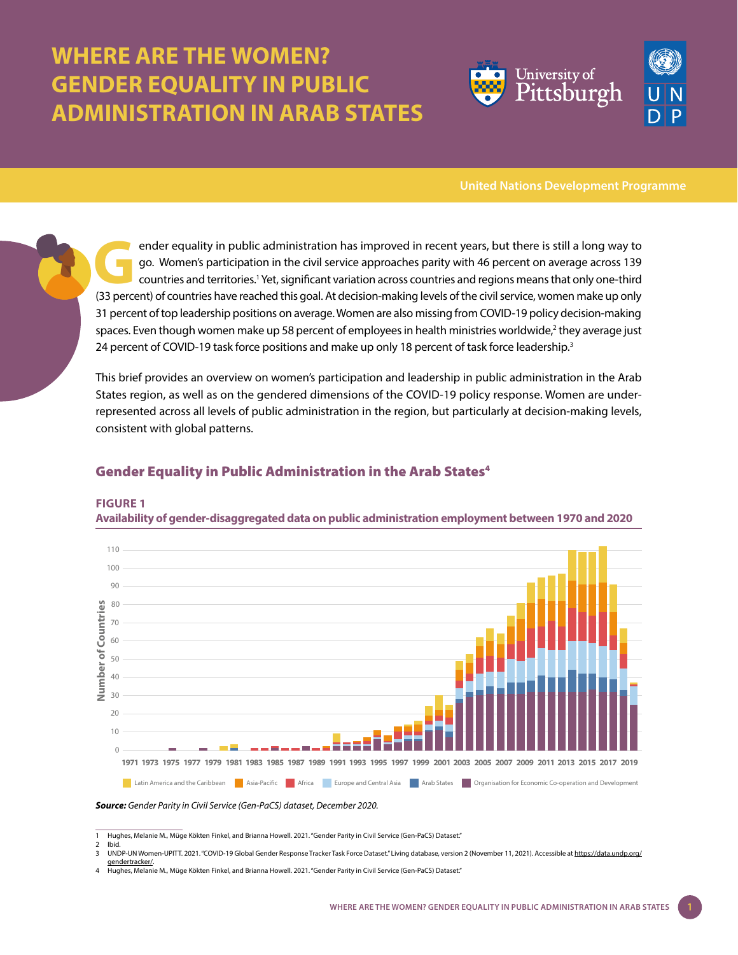# **WHERE ARE THE WOMEN? GENDER EQUALITY IN PUBLIC ADMINISTRATION IN ARAB STATES**



**United Nations Development Programme**

ender equality in public administration has improved in recent years, but there is still a long way to<br>go. Women's participation in the civil service approaches parity with 46 percent on average across 139<br>countries and te go. Women's participation in the civil service approaches parity with 46 percent on average across 139 countries and territories.<sup>1</sup> Yet, significant variation across countries and regions means that only one-third (33 percent) of countries have reached this goal. At decision-making levels of the civil service, women make up only 31 percent of top leadership positions on average. Women are also missing from COVID-19 policy decision-making spaces. Even though women make up 58 percent of employees in health ministries worldwide,<sup>2</sup> they average just 24 percent of COVID-19 task force positions and make up only 18 percent of task force leadership.<sup>3</sup>

This brief provides an overview on women's participation and leadership in public administration in the Arab States region, as well as on the gendered dimensions of the COVID-19 policy response. Women are underrepresented across all levels of public administration in the region, but particularly at decision-making levels, consistent with global patterns.

## Gender Equality in Public Administration in the Arab States<sup>4</sup>

**FIGURE 1**

**Availability of gender-disaggregated data on public administration employment between 1970 and 2020**



#### *Source: Gender Parity in Civil Service (Gen-PaCS) dataset, December 2020.*

<sup>1</sup> Hughes, Melanie M., Müge Kökten Finkel, and Brianna Howell. 2021. "Gender Parity in Civil Service (Gen-PaCS) Dataset."

<sup>2</sup> Ibid. 3 UNDP-UN Women-UPITT. 2021. "COVID-19 Global Gender Response Tracker Task Force Dataset." Living database, version 2 (November 11, 2021). Accessible at [https://data.undp.org/](https://data.undp.org/gendertracker/)

[gendertracker/.](https://data.undp.org/gendertracker/) 4 Hughes, Melanie M., Müge Kökten Finkel, and Brianna Howell. 2021. "Gender Parity in Civil Service (Gen-PaCS) Dataset."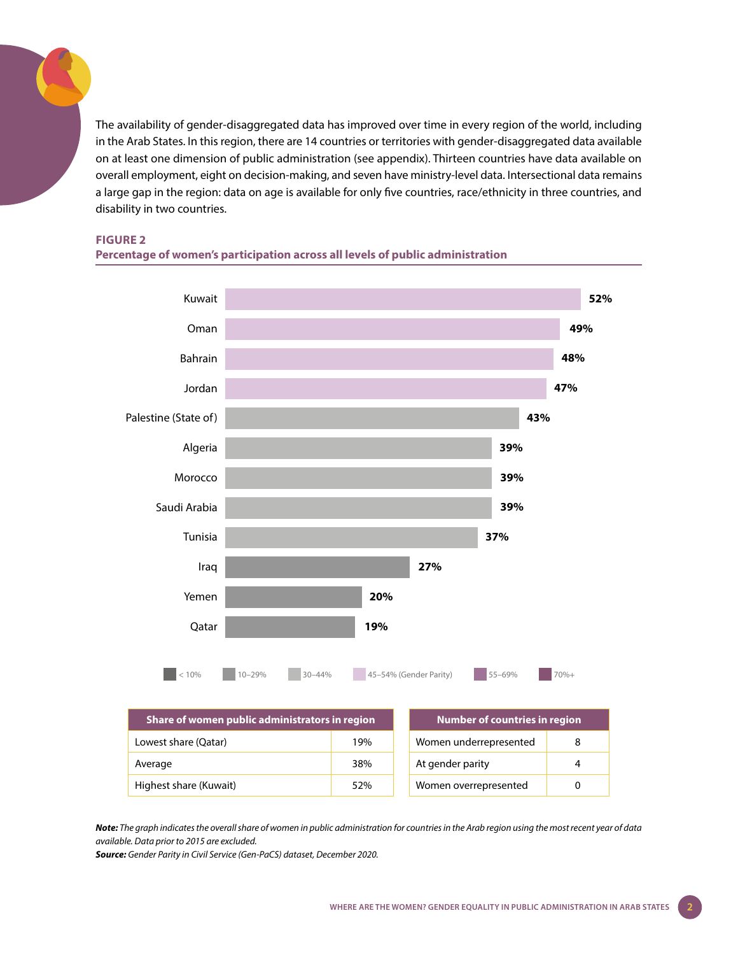The availability of gender-disaggregated data has improved over time in every region of the world, including in the Arab States. In this region, there are 14 countries or territories with gender-disaggregated data available on at least one dimension of public administration (see appendix). Thirteen countries have data available on overall employment, eight on decision-making, and seven have ministry-level data. Intersectional data remains a large gap in the region: data on age is available for only five countries, race/ethnicity in three countries, and disability in two countries.

**FIGURE 2**





*Note: The graph indicates the overall share of women in public administration for countries in the Arab region using the most recent year of data available. Data prior to 2015 are excluded.* 

*Source: Gender Parity in Civil Service (Gen-PaCS) dataset, December 2020.*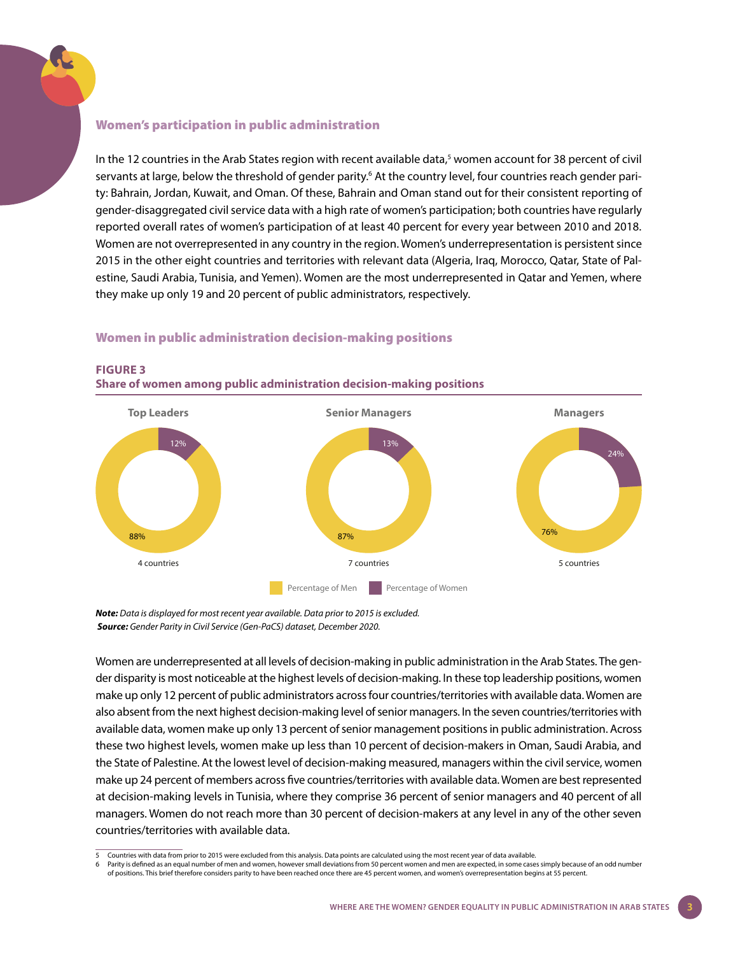#### Women's participation in public administration

In the 12 countries in the Arab States region with recent available data,<sup>5</sup> women account for 38 percent of civil servants at large, below the threshold of gender parity.<sup>6</sup> At the country level, four countries reach gender parity: Bahrain, Jordan, Kuwait, and Oman. Of these, Bahrain and Oman stand out for their consistent reporting of gender-disaggregated civil service data with a high rate of women's participation; both countries have regularly reported overall rates of women's participation of at least 40 percent for every year between 2010 and 2018. Women are not overrepresented in any country in the region. Women's underrepresentation is persistent since 2015 in the other eight countries and territories with relevant data (Algeria, Iraq, Morocco, Qatar, State of Palestine, Saudi Arabia, Tunisia, and Yemen). Women are the most underrepresented in Qatar and Yemen, where they make up only 19 and 20 percent of public administrators, respectively.

## Women in public administration decision-making positions



## **FIGURE 3**

**Share of women among public administration decision-making positions**

*Note: Data is displayed for most recent year available. Data prior to 2015 is excluded. Source: Gender Parity in Civil Service (Gen-PaCS) dataset, December 2020.*

Women are underrepresented at all levels of decision-making in public administration in the Arab States. The gender disparity is most noticeable at the highest levels of decision-making. In these top leadership positions, women make up only 12 percent of public administrators across four countries/territories with available data. Women are also absent from the next highest decision-making level of senior managers. In the seven countries/territories with available data, women make up only 13 percent of senior management positions in public administration. Across these two highest levels, women make up less than 10 percent of decision-makers in Oman, Saudi Arabia, and the State of Palestine. At the lowest level of decision-making measured, managers within the civil service, women make up 24 percent of members across five countries/territories with available data. Women are best represented at decision-making levels in Tunisia, where they comprise 36 percent of senior managers and 40 percent of all managers. Women do not reach more than 30 percent of decision-makers at any level in any of the other seven countries/territories with available data.

<sup>5</sup> Countries with data from prior to 2015 were excluded from this analysis. Data points are calculated using the most recent year of data available.

<sup>6</sup> Parity is defined as an equal number of men and women, however small deviations from 50 percent women and men are expected, in some cases simply because of an odd number<br>of positions. This brief therefore considers parit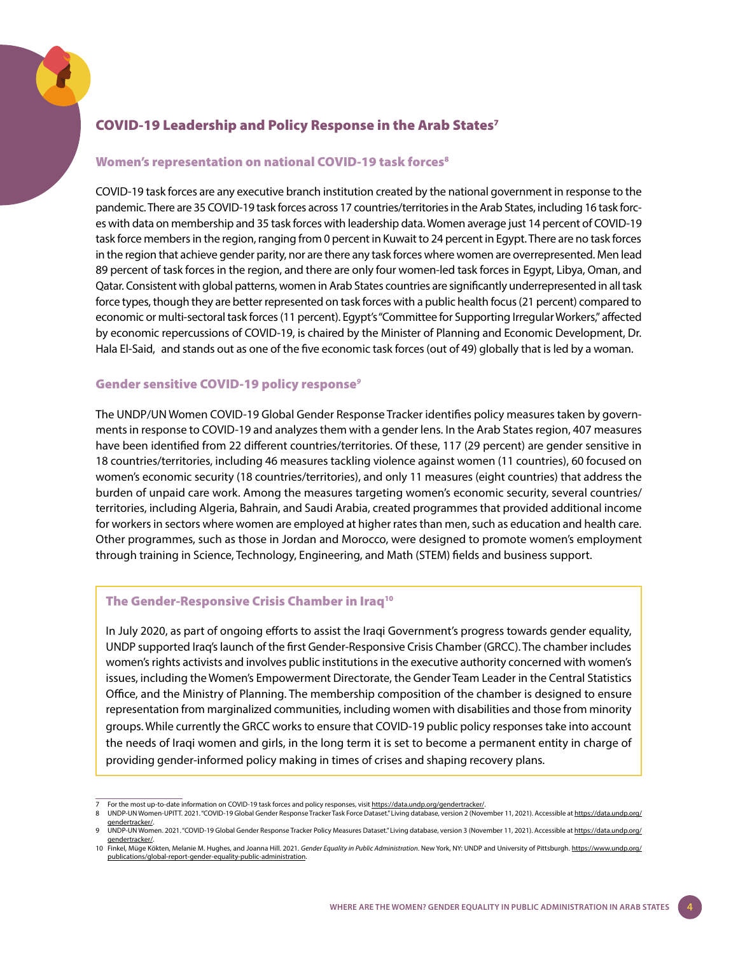## COVID-19 Leadership and Policy Response in the Arab States<sup>7</sup>

#### Women's representation on national COVID-19 task forces<sup>8</sup>

COVID-19 task forces are any executive branch institution created by the national government in response to the pandemic. There are 35 COVID-19 task forces across 17 countries/territories in the Arab States, including 16 task forces with data on membership and 35 task forces with leadership data. Women average just 14 percent of COVID-19 task force members in the region, ranging from 0 percent in Kuwait to 24 percent in Egypt. There are no task forces in the region that achieve gender parity, nor are there any task forces where women are overrepresented. Men lead 89 percent of task forces in the region, and there are only four women-led task forces in Egypt, Libya, Oman, and Qatar. Consistent with global patterns, women in Arab States countries are significantly underrepresented in all task force types, though they are better represented on task forces with a public health focus (21 percent) compared to economic or multi-sectoral task forces (11 percent). Egypt's "Committee for Supporting Irregular Workers," affected by economic repercussions of COVID-19, is chaired by the Minister of Planning and Economic Development, Dr. Hala El-Said, and stands out as one of the five economic task forces (out of 49) globally that is led by a woman.

### Gender sensitive COVID-19 policy response*<sup>9</sup>*

The UNDP/UN Women COVID-19 Global Gender Response Tracker identifies policy measures taken by governments in response to COVID-19 and analyzes them with a gender lens. In the Arab States region, 407 measures have been identified from 22 different countries/territories. Of these, 117 (29 percent) are gender sensitive in 18 countries/territories, including 46 measures tackling violence against women (11 countries), 60 focused on women's economic security (18 countries/territories), and only 11 measures (eight countries) that address the burden of unpaid care work. Among the measures targeting women's economic security, several countries/ territories, including Algeria, Bahrain, and Saudi Arabia, created programmes that provided additional income for workers in sectors where women are employed at higher rates than men, such as education and health care. Other programmes, such as those in Jordan and Morocco, were designed to promote women's employment through training in Science, Technology, Engineering, and Math (STEM) fields and business support.

### The Gender-Responsive Crisis Chamber in Iraq<sup>10</sup>

In July 2020, as part of ongoing efforts to assist the Iraqi Government's progress towards gender equality, UNDP supported Iraq's launch of the first Gender-Responsive Crisis Chamber (GRCC). The chamber includes women's rights activists and involves public institutions in the executive authority concerned with women's issues, including the Women's Empowerment Directorate, the Gender Team Leader in the Central Statistics Office, and the Ministry of Planning. The membership composition of the chamber is designed to ensure representation from marginalized communities, including women with disabilities and those from minority groups. While currently the GRCC works to ensure that COVID-19 public policy responses take into account the needs of Iraqi women and girls, in the long term it is set to become a permanent entity in charge of providing gender-informed policy making in times of crises and shaping recovery plans.

For the most up-to-date information on COVID-19 task forces and policy responses, visit <https://data.undp.org/gendertracker/>.

<sup>8</sup> UNDP-UN Women-UPITT. 2021. "COVID-19 Global Gender Response Tracker Task Force Dataset." Living database, version 2 (November 11, 2021). Accessible at [https://data.undp.org/](https://data.undp.org/gendertracker/) [gendertracker/.](https://data.undp.org/gendertracker/) 9 UNDP-UN Women. 2021. "COVID-19 Global Gender Response Tracker Policy Measures Dataset." Living database, version 3 (November 11, 2021). Accessible at [https://data.undp.org/](https://data.undp.org/gendertracker/)

[gendertracker/.](https://data.undp.org/gendertracker/) 10 Finkel, Müge Kökten, Melanie M. Hughes, and Joanna Hill. 2021. *Gender Equality in Public Administration*. New York, NY: UNDP and University of Pittsburgh. [https://www.undp.org/](https://www.undp.org/publications/global-report-gender-equality-public-administration)

[publications/global-report-gender-equality-public-administration.](https://www.undp.org/publications/global-report-gender-equality-public-administration)